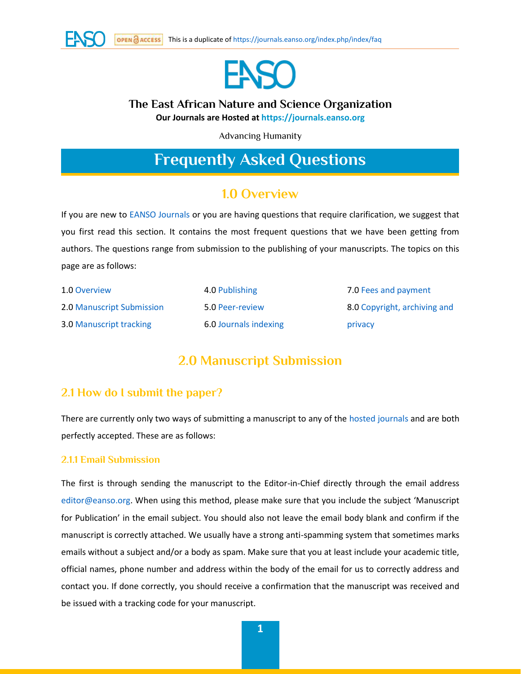



## **The East African Nature and Science Organization**

**Our Journals are Hosted at [https://journals.eanso.org](https://journals.eanso.org/)**

Advancing Humanity

# **Frequently Asked Questions**

# **1.0 Overview**

If you are new to [EANSO Journals](https://journals.eanso.org/) or you are having questions that require clarification, we suggest that you first read this section. It contains the most frequent questions that we have been getting from authors. The questions range from submission to the publishing of your manuscripts. The topics on this page are as follows:

| 1.0 Overview                   | 4.0 Publishing        | 7.0 Fees and payment         |
|--------------------------------|-----------------------|------------------------------|
| 2.0 Manuscript Submission      | 5.0 Peer-review       | 8.0 Copyright, archiving and |
| <b>3.0 Manuscript tracking</b> | 6.0 Journals indexing | privacy                      |

# **2.0 Manuscript Submission**

### **2.1 How do I submit the paper?**

There are currently only two ways of submitting a manuscript to any of the [hosted journals](https://journals.eanso.org/) and are both perfectly accepted. These are as follows:

#### **2.1.1 Email Submission**

The first is through sending the manuscript to the Editor-in-Chief directly through the email address [editor@eanso.org.](mailto:editor@eanso.org) When using this method, please make sure that you include the subject 'Manuscript for Publication' in the email subject. You should also not leave the email body blank and confirm if the manuscript is correctly attached. We usually have a strong anti-spamming system that sometimes marks emails without a subject and/or a body as spam. Make sure that you at least include your academic title, official names, phone number and address within the body of the email for us to correctly address and contact you. If done correctly, you should receive a confirmation that the manuscript was received and be issued with a tracking code for your manuscript.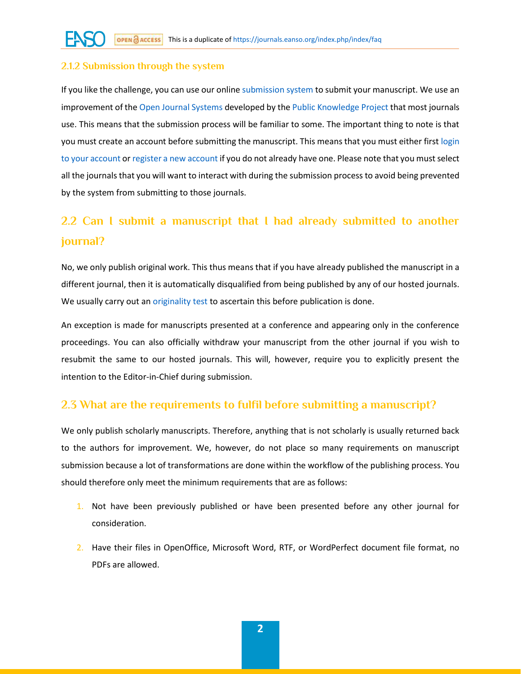#### **2.1.2 Submission through the system**

If you like the challenge, you can use our onlin[e submission system](https://journals.eanso.org/index.php/index/login) to submit your manuscript. We use an improvement of the [Open Journal Systems](https://pkp.sfu.ca/ojs/) developed by th[e Public Knowledge Project](https://pkp.sfu.ca/) that most journals use. This means that the submission process will be familiar to some. The important thing to note is that you must create an account before submitting the manuscript. This means that you must either first [login](https://journals.eanso.org/index.php/index/login)  [to your account](https://journals.eanso.org/index.php/index/login) o[r register a new account](https://journals.eanso.org/index.php/index/user/register?source=) if you do not already have one. Please note that you must select all the journals that you will want to interact with during the submission process to avoid being prevented by the system from submitting to those journals.

# **2.2 Can I submit a manuscript that I had already submitted to another journal?**

No, we only publish original work. This thus means that if you have already published the manuscript in a different journal, then it is automatically disqualified from being published by any of our hosted journals. We usually carry out a[n originality test](https://journals.eanso.org/index.php/index/faq#originality) to ascertain this before publication is done.

An exception is made for manuscripts presented at a conference and appearing only in the conference proceedings. You can also officially withdraw your manuscript from the other journal if you wish to resubmit the same to our hosted journals. This will, however, require you to explicitly present the intention to the Editor-in-Chief during submission.

## **2.3 What are the requirements to fulfil before submitting a manuscript?**

We only publish scholarly manuscripts. Therefore, anything that is not scholarly is usually returned back to the authors for improvement. We, however, do not place so many requirements on manuscript submission because a lot of transformations are done within the workflow of the publishing process. You should therefore only meet the minimum requirements that are as follows:

- 1. Not have been previously published or have been presented before any other journal for consideration.
- 2. Have their files in OpenOffice, Microsoft Word, RTF, or WordPerfect document file format, no PDFs are allowed.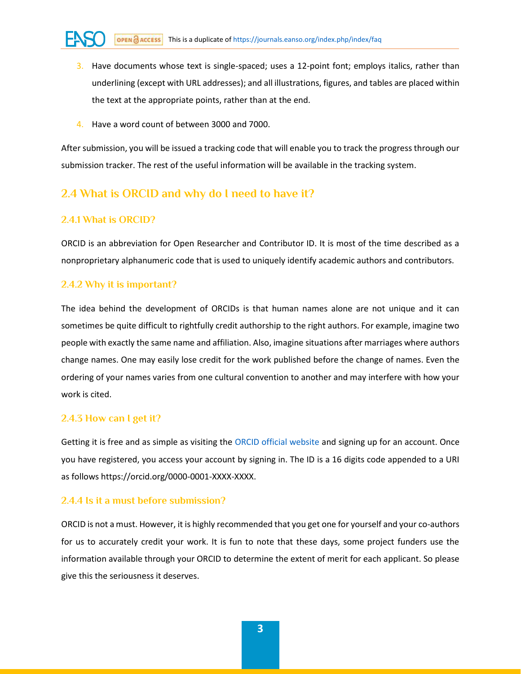- 3. Have documents whose text is single-spaced; uses a 12-point font; employs italics, rather than underlining (except with URL addresses); and all illustrations, figures, and tables are placed within the text at the appropriate points, rather than at the end.
- 4. Have a word count of between 3000 and 7000.

After submission, you will be issued a tracking code that will enable you to track the progress through our submission tracker. The rest of the useful information will be available in the tracking system.

### **2.4 What is ORCID and why do I need to have it?**

#### **2.4.1 What is ORCID?**

ORCID is an abbreviation for Open Researcher and Contributor ID. It is most of the time described as a nonproprietary alphanumeric code that is used to uniquely identify academic authors and contributors.

#### **2.4.2 Why it is important?**

The idea behind the development of ORCIDs is that human names alone are not unique and it can sometimes be quite difficult to rightfully credit authorship to the right authors. For example, imagine two people with exactly the same name and affiliation. Also, imagine situations after marriages where authors change names. One may easily lose credit for the work published before the change of names. Even the ordering of your names varies from one cultural convention to another and may interfere with how your work is cited.

#### **2.4.3 How can I get it?**

Getting it is free and as simple as visiting the [ORCID official website](https://orcid.org/) and signing up for an account. Once you have registered, you access your account by signing in. The ID is a 16 digits code appended to a URI as follows https://orcid.org/0000-0001-XXXX-XXXX.

#### **2.4.4 Is it a must before submission?**

ORCID is not a must. However, it is highly recommended that you get one for yourself and your co-authors for us to accurately credit your work. It is fun to note that these days, some project funders use the information available through your ORCID to determine the extent of merit for each applicant. So please give this the seriousness it deserves.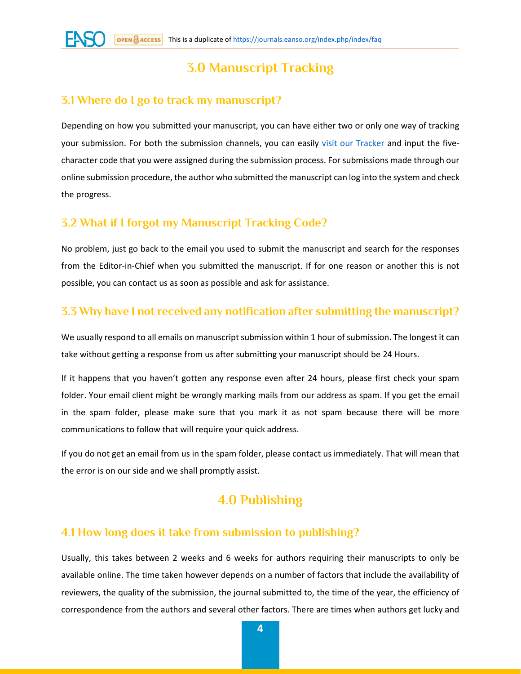# **3.0 Manuscript Tracking**

#### **3.1 Where do I go to track my manuscript?**

Depending on how you submitted your manuscript, you can have either two or only one way of tracking your submission. For both the submission channels, you can easily [visit our Tracker](https://tracker.eanso.org/) and input the fivecharacter code that you were assigned during the submission process. For submissions made through our online submission procedure, the author who submitted the manuscript can log into the system and check the progress.

#### **3.2 What if I forgot my Manuscript Tracking Code?**

No problem, just go back to the email you used to submit the manuscript and search for the responses from the Editor-in-Chief when you submitted the manuscript. If for one reason or another this is not possible, you can contact us as soon as possible and ask for assistance.

#### **3.3 Why have I not received any notification after submitting the manuscript?**

We usually respond to all emails on manuscript submission within 1 hour of submission. The longest it can take without getting a response from us after submitting your manuscript should be 24 Hours.

If it happens that you haven't gotten any response even after 24 hours, please first check your spam folder. Your email client might be wrongly marking mails from our address as spam. If you get the email in the spam folder, please make sure that you mark it as not spam because there will be more communications to follow that will require your quick address.

If you do not get an email from us in the spam folder, please contact us immediately. That will mean that the error is on our side and we shall promptly assist.

# **4.0 Publishing**

#### **4.1 How long does it take from submission to publishing?**

Usually, this takes between 2 weeks and 6 weeks for authors requiring their manuscripts to only be available online. The time taken however depends on a number of factors that include the availability of reviewers, the quality of the submission, the journal submitted to, the time of the year, the efficiency of correspondence from the authors and several other factors. There are times when authors get lucky and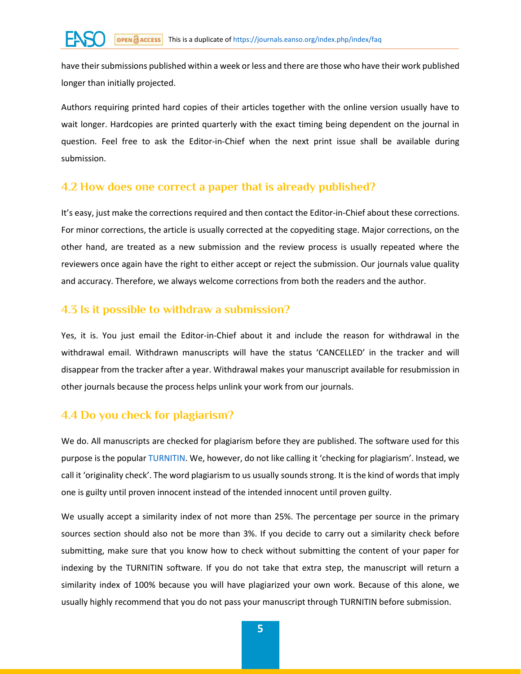have their submissions published within a week or less and there are those who have their work published longer than initially projected.

Authors requiring printed hard copies of their articles together with the online version usually have to wait longer. Hardcopies are printed quarterly with the exact timing being dependent on the journal in question. Feel free to ask the Editor-in-Chief when the next print issue shall be available during submission.

#### **4.2 How does one correct a paper that is already published?**

It's easy, just make the corrections required and then contact the Editor-in-Chief about these corrections. For minor corrections, the article is usually corrected at the copyediting stage. Major corrections, on the other hand, are treated as a new submission and the review process is usually repeated where the reviewers once again have the right to either accept or reject the submission. Our journals value quality and accuracy. Therefore, we always welcome corrections from both the readers and the author.

#### **4.3 Is it possible to withdraw a submission?**

Yes, it is. You just email the Editor-in-Chief about it and include the reason for withdrawal in the withdrawal email. Withdrawn manuscripts will have the status 'CANCELLED' in the tracker and will disappear from the tracker after a year. Withdrawal makes your manuscript available for resubmission in other journals because the process helps unlink your work from our journals.

## **4.4 Do you check for plagiarism?**

We do. All manuscripts are checked for plagiarism before they are published. The software used for this purpose is the popula[r TURNITIN](https://www.turnitin.com/). We, however, do not like calling it 'checking for plagiarism'. Instead, we call it 'originality check'. The word plagiarism to us usually sounds strong. It is the kind of words that imply one is guilty until proven innocent instead of the intended innocent until proven guilty.

We usually accept a similarity index of not more than 25%. The percentage per source in the primary sources section should also not be more than 3%. If you decide to carry out a similarity check before submitting, make sure that you know how to check without submitting the content of your paper for indexing by the TURNITIN software. If you do not take that extra step, the manuscript will return a similarity index of 100% because you will have plagiarized your own work. Because of this alone, we usually highly recommend that you do not pass your manuscript through TURNITIN before submission.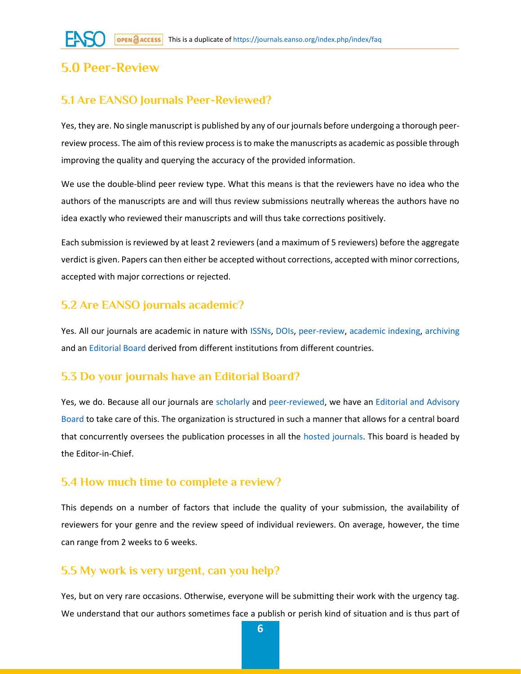# **5.0 Peer-Review**

### **5.1 Are EANSO Journals Peer-Reviewed?**

Yes, they are. No single manuscript is published by any of our journals before undergoing a thorough peerreview process. The aim of this review process is to make the manuscripts as academic as possible through improving the quality and querying the accuracy of the provided information.

We use the double-blind peer review type. What this means is that the reviewers have no idea who the authors of the manuscripts are and will thus review submissions neutrally whereas the authors have no idea exactly who reviewed their manuscripts and will thus take corrections positively.

Each submission is reviewed by at least 2 reviewers (and a maximum of 5 reviewers) before the aggregate verdict is given. Papers can then either be accepted without corrections, accepted with minor corrections, accepted with major corrections or rejected.

### **5.2 Are EANSO journals academic?**

Yes. All our journals are academic in nature with [ISSNs,](https://journals.eanso.org/index.php/index/faq#issns) [DOIs,](https://journals.eanso.org/index.php/index/faq#dois) [peer-review,](https://journals.eanso.org/index.php/index/faq#prwd) [academic indexing,](https://journals.eanso.org/index.php/index/faq#where-indexed) [archiving](https://journals.eanso.org/index.php/index/faq#archiving) and an [Editorial Board](https://journals.eanso.org/index.php/index/editorial-board) derived from different institutions from different countries.

### **5.3 Do your journals have an Editorial Board?**

Yes, we do. Because all our journals are [scholarly](https://journals.eanso.org/index.php/index/faq#academic) and [peer-reviewed,](https://journals.eanso.org/index.php/index/faq#prwd) we have an Editorial and Advisory [Board](https://journals.eanso.org/index.php/index/editorial-board) to take care of this. The organization is structured in such a manner that allows for a central board that concurrently oversees the publication processes in all the [hosted journals.](https://journals.eanso.org/) This board is headed by the Editor-in-Chief.

### **5.4 How much time to complete a review?**

This depends on a number of factors that include the quality of your submission, the availability of reviewers for your genre and the review speed of individual reviewers. On average, however, the time can range from 2 weeks to 6 weeks.

### **5.5 My work is very urgent, can you help?**

Yes, but on very rare occasions. Otherwise, everyone will be submitting their work with the urgency tag. We understand that our authors sometimes face a publish or perish kind of situation and is thus part of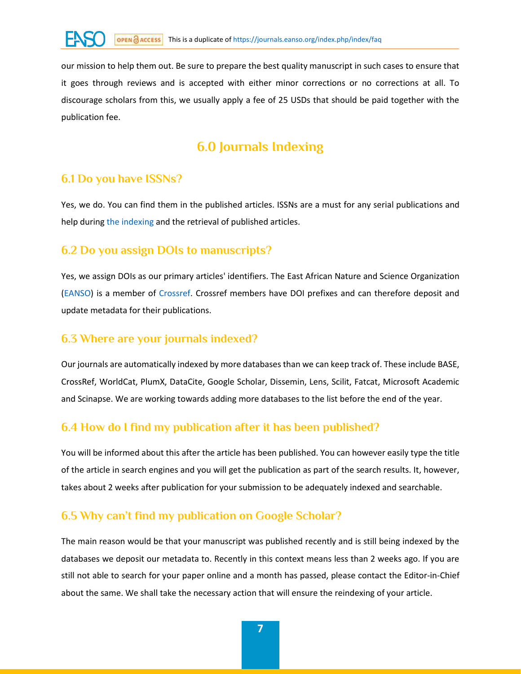our mission to help them out. Be sure to prepare the best quality manuscript in such cases to ensure that it goes through reviews and is accepted with either minor corrections or no corrections at all. To discourage scholars from this, we usually apply a fee of 25 USDs that should be paid together with the publication fee.

# **6.0 Journals Indexing**

## **6.1 Do you have ISSNs?**

Yes, we do. You can find them in the published articles. ISSNs are a must for any serial publications and help during [the indexing](https://journals.eanso.org/index.php/index/faq#where-indexed) and the retrieval of published articles.

### **6.2 Do you assign DOIs to manuscripts?**

Yes, we assign DOIs as our primary articles' identifiers. The East African Nature and Science Organization [\(EANSO\)](https://www.eanso.org/) is a member of [Crossref.](https://www.crossref.org/) Crossref members have DOI prefixes and can therefore deposit and update metadata for their publications.

### **6.3 Where are your journals indexed?**

Our journals are automatically indexed by more databases than we can keep track of. These include BASE, CrossRef, WorldCat, PlumX, DataCite, Google Scholar, Dissemin, Lens, Scilit, Fatcat, Microsoft Academic and Scinapse. We are working towards adding more databases to the list before the end of the year.

## **6.4 How do I find my publication after it has been published?**

You will be informed about this after the article has been published. You can however easily type the title of the article in search engines and you will get the publication as part of the search results. It, however, takes about 2 weeks after publication for your submission to be adequately indexed and searchable.

# **6.5 Why can't find my publication on Google Scholar?**

The main reason would be that your manuscript was published recently and is still being indexed by the databases we deposit our metadata to. Recently in this context means less than 2 weeks ago. If you are still not able to search for your paper online and a month has passed, please contact the Editor-in-Chief about the same. We shall take the necessary action that will ensure the reindexing of your article.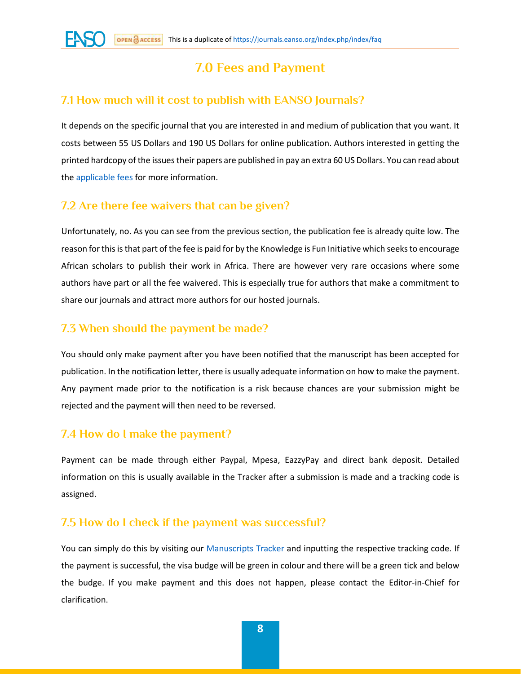# **7.0 Fees and Payment**

### **7.1 How much will it cost to publish with EANSO Journals?**

It depends on the specific journal that you are interested in and medium of publication that you want. It costs between 55 US Dollars and 190 US Dollars for online publication. Authors interested in getting the printed hardcopy of the issues their papers are published in pay an extra 60 US Dollars. You can read about th[e applicable fees](https://journals.eanso.org/index.php/index/applicable-fee) for more information.

## **7.2 Are there fee waivers that can be given?**

Unfortunately, no. As you can see from the previous section, the publication fee is already quite low. The reason for this is that part of the fee is paid for by the Knowledge is Fun Initiative which seeks to encourage African scholars to publish their work in Africa. There are however very rare occasions where some authors have part or all the fee waivered. This is especially true for authors that make a commitment to share our journals and attract more authors for our hosted journals.

## **7.3 When should the payment be made?**

You should only make payment after you have been notified that the manuscript has been accepted for publication. In the notification letter, there is usually adequate information on how to make the payment. Any payment made prior to the notification is a risk because chances are your submission might be rejected and the payment will then need to be reversed.

## **7.4 How do I make the payment?**

Payment can be made through either Paypal, Mpesa, EazzyPay and direct bank deposit. Detailed information on this is usually available in the Tracker after a submission is made and a tracking code is assigned.

### **7.5 How do I check if the payment was successful?**

You can simply do this by visiting our [Manuscripts Tracker](https://tracker.eanso.org/) and inputting the respective tracking code. If the payment is successful, the visa budge will be green in colour and there will be a green tick and below the budge. If you make payment and this does not happen, please contact the Editor-in-Chief for clarification.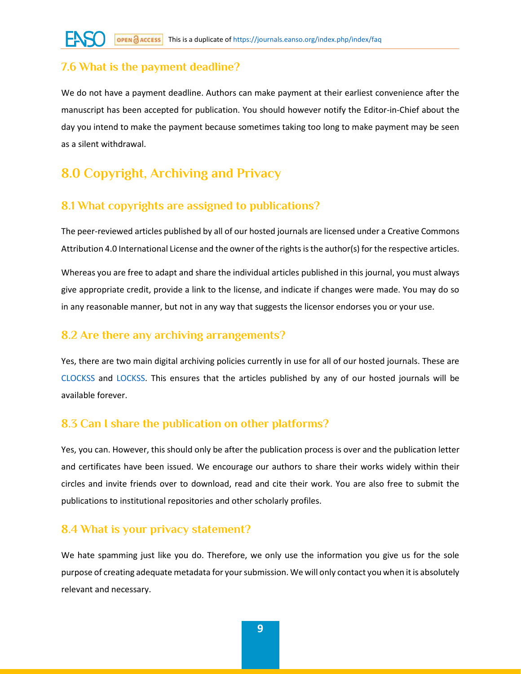## **7.6 What is the payment deadline?**

We do not have a payment deadline. Authors can make payment at their earliest convenience after the manuscript has been accepted for publication. You should however notify the Editor-in-Chief about the day you intend to make the payment because sometimes taking too long to make payment may be seen as a silent withdrawal.

# **8.0 Copyright, Archiving and Privacy**

## **8.1 What copyrights are assigned to publications?**

The peer-reviewed articles published by all of our hosted journals are licensed under a Creative Commons Attribution 4.0 International License and the owner of the rights is the author(s) for the respective articles.

Whereas you are free to adapt and share the individual articles published in this journal, you must always give appropriate credit, provide a link to the license, and indicate if changes were made. You may do so in any reasonable manner, but not in any way that suggests the licensor endorses you or your use.

#### **8.2 Are there any archiving arrangements?**

Yes, there are two main digital archiving policies currently in use for all of our hosted journals. These are [CLOCKSS](https://clockss.org/) and [LOCKSS.](https://www.lockss.org/) This ensures that the articles published by any of our hosted journals will be available forever.

### **8.3 Can I share the publication on other platforms?**

Yes, you can. However, this should only be after the publication process is over and the publication letter and certificates have been issued. We encourage our authors to share their works widely within their circles and invite friends over to download, read and cite their work. You are also free to submit the publications to institutional repositories and other scholarly profiles.

### **8.4 What is your privacy statement?**

We hate spamming just like you do. Therefore, we only use the information you give us for the sole purpose of creating adequate metadata for your submission. We will only contact you when it is absolutely relevant and necessary.